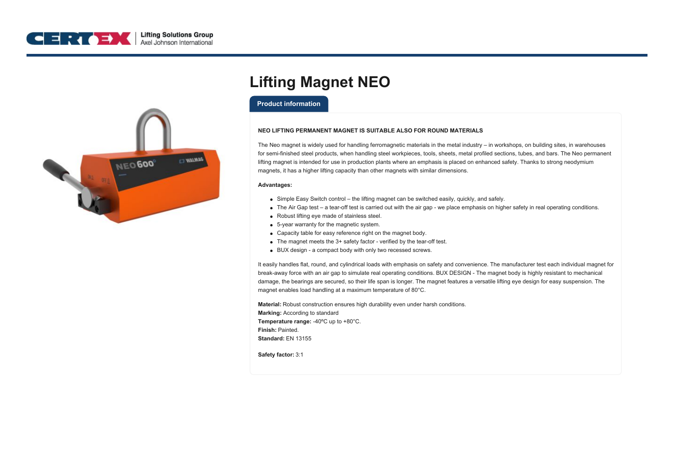



# **Lifting Magnet NEO**

### **Product information**

#### **NEO LIFTING PERMANENT MAGNET IS SUITABLE ALSO FOR ROUND MATERIALS**

The Neo magnet is widely used for handling ferromagnetic materials in the metal industry – in workshops, on building sites, in warehouses for semi-finished steel products, when handling steel workpieces, tools, sheets, metal profiled sections, tubes, and bars. The Neo permanent lifting magnet is intended for use in production plants where an emphasis is placed on enhanced safety. Thanks to strong neodymium magnets, it has a higher lifting capacity than other magnets with similar dimensions.

#### **Advantages:**

- Simple Easy Switch control the lifting magnet can be switched easily, quickly, and safely.
- The Air Gap test a tear-off test is carried out with the air gap we place emphasis on higher safety in real operating conditions.
- Robust lifting eye made of stainless steel.
- 5-year warranty for the magnetic system.
- Capacity table for easy reference right on the magnet body.
- The magnet meets the 3+ safety factor verified by the tear-off test.
- BUX design a compact body with only two recessed screws.

It easily handles flat, round, and cylindrical loads with emphasis on safety and convenience. The manufacturer test each individual magnet for break-away force with an air gap to simulate real operating conditions. BUX DESIGN - The magnet body is highly resistant to mechanical damage, the bearings are secured, so their life span is longer. The magnet features a versatile lifting eye design for easy suspension. The magnet enables load handling at a maximum temperature of 80°C.

**Material:** Robust construction ensures high durability even under harsh conditions. **Marking:** According to standard **Temperature range:** -40ºC up to +80°C. **Finish:** Painted. **Standard:** EN 13155

**Safety factor:** 3:1